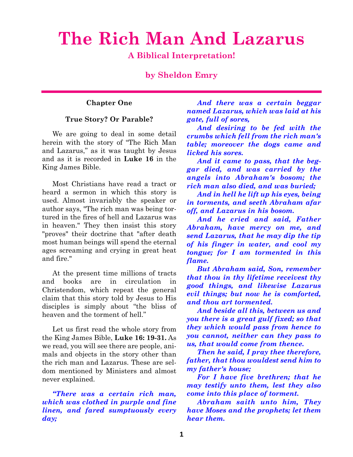# **The Rich Man And Lazarus**

**A Biblical Interpretation!**

**by Sheldon Emry**

#### **Chapter One**

#### **True Story? Or Parable?**

We are going to deal in some detail herein with the story of "The Rich Man and Lazarus," as it was taught by Jesus and as it is recorded in **Luke 16** in the King James Bible.

Most Christians have read a tract or heard a sermon in which this story is used. Almost invariably the speaker or author says, "The rich man was being tortured in the fires of hell and Lazarus was in heaven." They then insist this story "proves" their doctrine that "after death most human beings will spend the eternal ages screaming and crying in great heat and fire."

At the present time millions of tracts and books are in circulation in Christendom, which repeat the general claim that this story told by Jesus to His disciples is simply about "the bliss of heaven and the torment of hell."

Let us first read the whole story from the King James Bible, **Luke 16: 19-31.** As we read, you will see there are people, animals and objects in the story other than the rich man and Lazarus. These are seldom mentioned by Ministers and almost never explained.

*"There was a certain rich man, which was clothed in purple and fine linen, and fared sumptuously every day;*

*And there was a certain beggar named Lazarus, which was laid at his gate, full of sores,*

*And desiring to be fed with the crumbs which fell from the rich man's table; moreover the dogs came and licked his sores.*

*And it came to pass, that the beggar died, and was carried by the angels into Abraham's bosom; the rich man also died, and was buried;*

*And in hell he lift up his eyes, being in torments, and seeth Abraham afar off, and Lazarus in his bosom.*

*And he cried and said, Father Abraham, have mercy on me, and send Lazarus, that he may dip the tip of his finger in water, and cool my tongue; for I am tormented in this flame.*

*But Abraham said, Son, remember that thou in thy lifetime receivest thy good things, and likewise Lazarus evil things; but now he is comforted, and thou art tormented.*

*And beside all this, between us and you there is a great gulf fixed; so that they which would pass from hence to you cannot, neither can they pass to us, that would come from thence.*

*Then he said, I pray thee therefore, father, that thou wouldest send him to my father's house;*

*For I have five brethren; that he may testify unto them, lest they also come into this place of torment.*

*Abraham saith unto him, They have Moses and the prophets; let them hear them.*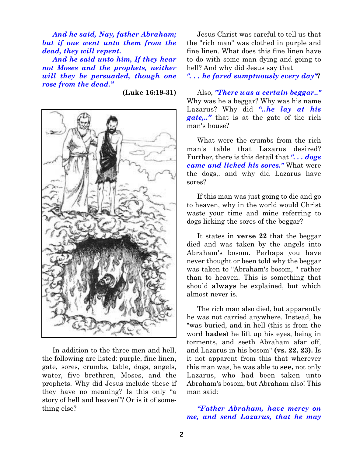*And he said, Nay, father Abraham; but if one went unto them from the dead, they will repent.*

*And he said unto him, If they hear not Moses and the prophets, neither will they be persuaded, though one rose from the dead."*

**(Luke 16:19-31)**



In addition to the three men and hell, the following are listed: purple, fine linen, gate, sores, crumbs, table, dogs, angels, water, five brethren, Moses, and the prophets. Why did Jesus include these if they have no meaning? Is this only "a story of hell and heaven"? Or is it of something else?

Jesus Christ was careful to tell us that the "rich man" was clothed in purple and fine linen. What does this fine linen have to do with some man dying and going to hell? And why did Jesus say that

*". . . he fared sumptuously every day"***?**

Also, *"There was a certain beggar.."* Why was he a beggar? Why was his name Lazarus? Why did *"..he lay at his gate,.."* that is at the gate of the rich man's house?

What were the crumbs from the rich man's table that Lazarus desired? Further, there is this detail that *". . . dogs came and licked his sores."* What were the dogs,. and why did Lazarus have sores?

If this man was just going to die and go to heaven, why in the world would Christ waste your time and mine referring to dogs licking the sores of the beggar?

It states in **verse 22** that the beggar died and was taken by the angels into Abraham's bosom. Perhaps you have never thought or been told why the beggar was taken to "Abraham's bosom, " rather than to heaven. This is something that should **always** be explained, but which almost never is.

The rich man also died, but apparently he was not carried anywhere. Instead, he "was buried, and in hell (this is from the word **hades**) he lift up his eyes, being in torments, and seeth Abraham afar off, and Lazarus in his bosom" **(vs. 22, 23).** Is it not apparent from this that wherever this man was, he was able to **see,** not only Lazarus, who had been taken unto Abraham's bosom, but Abraham also! This man said:

*"Father Abraham, have mercy on me, and send Lazarus, that he may*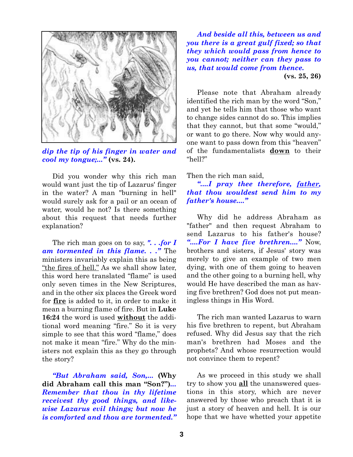

*dip the tip of his finger in water and cool my tongue;..."* **(vs. 24).**

Did you wonder why this rich man would want just the tip of Lazarus' finger in the water? A man "burning in hell" would surely ask for a pail or an ocean of water, would he not? Is there something about this request that needs further explanation?

The rich man goes on to say, *". . .for I am tormented in this flame. . ."* The ministers invariably explain this as being "the fires of hell." As we shall show later, this word here translated "flame" is used only seven times in the New Scriptures, and in the other six places the Greek word for **fire** is added to it, in order to make it mean a burning flame of fire. But in **Luke 16:24** the word is used **without** the additional word meaning "fire." So it is very simple to see that this word "flame," does not make it mean "fire." Why do the ministers not explain this as they go through the story?

*"But Abraham said, Son,...* **(Why did Abraham call this man "Son?")***... Remember that thou in thy lifetime receivest thy good things, and likewise Lazarus evil things; but now he is comforted and thou are tormented."*

*And beside all this, between us and you there is a great gulf fixed; so that they which would pass from hence to you cannot; neither can they pass to us, that would come from thence.* **(vs. 25, 26)**

Please note that Abraham already identified the rich man by the word "Son," and yet he tells him that those who want to change sides cannot do so. This implies that they cannot, but that some "would," or want to go there. Now why would anyone want to pass down from this "heaven" of the fundamentalists **down** to their "hell?"

#### Then the rich man said,

*"....I pray thee therefore, father, that thou wouldest send him to my father's house...."*

Why did he address Abraham as "father" and then request Abraham to send Lazarus to his father's house? *"....For I have five brethren...."* Now, brothers and sisters, if Jesus' story was merely to give an example of two men dying, with one of them going to heaven and the other going to a burning hell, why would He have described the man as having five brethren? God does not put meaningless things in His Word.

The rich man wanted Lazarus to warn his five brethren to repent, but Abraham refused. Why did Jesus say that the rich man's brethren had Moses and the prophets? And whose resurrection would not convince them to repent?

As we proceed in this study we shall try to show you **all** the unanswered questions in this story, which are never answered by those who preach that it is just a story of heaven and hell. It is our hope that we have whetted your appetite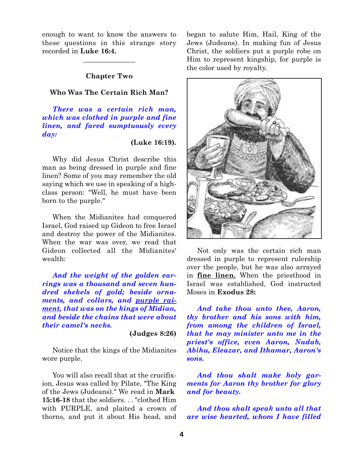enough to want to know the answers to these questions in this strange story recorded in **Luke 16:4.**

 $\overline{\phantom{a}}$  , where  $\overline{\phantom{a}}$ 

#### **Chapter Two**

#### **Who Was The Certain Rich Man?**

*There was a certain rich man, which was clothed in purple and fine linen, and fared sumptuously every day:*

#### **(Luke 16:19).**

Why did Jesus Christ describe this man as being dressed in purple and fine linen? Some of you may remember the old saying which we use in speaking of a highclass person: "Well, he must have been born to the purple."

When the Midianites had conquered Israel, God raised up Gideon to free Israel and destroy the power of the Midianites. When the war was over, we read that Gideon collected all the Midianites' wealth:

*And the weight of the golden earrings was a thousand and seven hundred shekels of gold; beside ornaments, and collars, and purple raiment, that was on the kings of Midian, and beside the chains that were about their camel's necks.*

**(Judges 8:26)**

Notice that the kings of the Midianites wore purple.

You will also recall that at the crucifixion, Jesus was called by Pilate, "The King of the Jews (Judeans)." We read in **Mark 15:16-18** that the soldiers. . . "clothed Him with PURPLE, and plaited a crown of thorns, and put it about His head, and began to salute Him, Hail, King of the Jews (Judeans). In making fun of Jesus Christ, the soldiers put a purple robe on Him to represent kingship, for purple is the color used by royalty.



Not only was the certain rich man dressed in purple to represent rulership over the people, but he was also arrayed in **fine linen.** When the priesthood in Israel was established, God instructed Moses in **Exodus 28:**

*And take thou unto thee, Aaron, thy brother and his sons with him, from among the children of Israel, that he may minister unto me in the priest's office, even Aaron, Nadab, Abihu, Eleazar, and Ithamar, Aaron's sons.*

*And thou shalt make holy garments for Aaron thy brother for glory and for beauty.*

*And thou shalt speak unto all that are wise hearted, whom I have filled*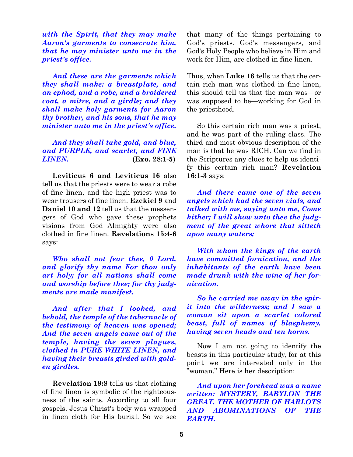*with the Spirit, that they may make Aaron's garments to consecrate him, that he may minister unto me in the priest's office.*

*And these are the garments which they shall make: a breastplate, and an ephod, and a robe, and a broidered coat, a mitre, and a girdle; and they shall make holy garments for Aaron thy brother, and his sons, that he may minister unto me in the priest's office.*

*And they shall take gold, and blue, and PURPLE, and scarlet, and FINE LINEN.* **(Exo. 28:1-5)**

**Leviticus 6 and Leviticus 16** also tell us that the priests were to wear a robe of fine linen, and the high priest was to wear trousers of fine linen. **Ezekiel 9** and **Daniel 10 and 12** tell us that the messengers of God who gave these prophets visions from God Almighty were also clothed in fine linen. **Revelations 15:4-6** says:

*Who shall not fear thee, 0 Lord, and glorify thy name For thou only art holy; for all nations shall come and worship before thee; for thy judgments are made manifest.*

*And after that I looked, and behold, the temple of the tabernacle of the testimony of heaven was opened; And the seven angels came out of the temple, having the seven plagues, clothed in PURE WHITE LINEN, and having their breasts girded with golden girdles.*

**Revelation 19:8** tells us that clothing of fine linen is symbolic of the righteousness of the saints. According to all four gospels, Jesus Christ's body was wrapped in linen cloth for His burial. So we see that many of the things pertaining to God's priests, God's messengers, and God's Holy People who believe in Him and work for Him, are clothed in fine linen.

Thus, when **Luke 16** tells us that the certain rich man was clothed in fine linen, this should tell us that the man was—or was supposed to be—working for God in the priesthood.

So this certain rich man was a priest, and he was part of the ruling class. The third and most obvious description of the man is that he was RICH. Can we find in the Scriptures any clues to help us identify this certain rich man? **Revelation 16:1-3** says:

*And there came one of the seven angels which had the seven vials, and talked with me, saying unto me, Come hither; I will show unto thee the judgment of the great whore that sitteth upon many waters;*

*With whom the kings of the earth have committed fornication, and the inhabitants of the earth have been made drunk with the wine of her fornication.*

*So he carried me away in the spirit into the wilderness; and I saw a woman sit upon a scarlet colored beast, full of names of blasphemy, having seven heads and ten horns.*

Now I am not going to identify the beasts in this particular study, for at this point we are interested only in the "woman." Here is her description:

*And upon her forehead was a name written: MYSTERY, BABYLON THE GREAT, THE MOTHER OF HARLOTS AND ABOMINATIONS OF THE EARTH.*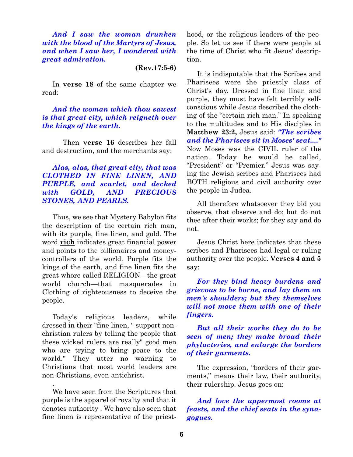*And I saw the woman drunken with the blood of the Martyrs of Jesus, and when I saw her, I wondered with great admiration.*

#### **(Rev.17:5-6)**

In **verse 18** of the same chapter we read:

## *And the woman which thou sawest is that great city, which reigneth over the kings of the earth.*

Then **verse 16** describes her fall and destruction, and the merchants say:

## *Alas, alas, that great city, that was CLOTHED IN FINE LINEN, AND PURPLE, and scarlet, and decked with GOLD, AND PRECIOUS STONES, AND PEARLS.*

Thus, we see that Mystery Babylon fits the description of the certain rich man, with its purple, fine linen, and gold. The word **rich** indicates great financial power and points to the billionaires and moneycontrollers of the world. Purple fits the kings of the earth, and fine linen fits the great whore called RELIGION—the great world church—that masquerades in Clothing of righteousness to deceive the people.

Today's religious leaders, while dressed in their "fine linen, " support nonchristian rulers by telling the people that these wicked rulers are really" good men who are trying to bring peace to the world." They utter no warning to Christians that most world leaders are non-Christians, even antichrist.

We have seen from the Scriptures that purple is the apparel of royalty and that it denotes authority . We have also seen that fine linen is representative of the priest-

.

hood, or the religious leaders of the people. So let us see if there were people at the time of Christ who fit Jesus' description.

It is indisputable that the Scribes and Pharisees were the priestly class of Christ's day. Dressed in fine linen and purple, they must have felt terribly selfconscious while Jesus described the clothing of the "certain rich man." In speaking to the multitudes and to His disciples in **Matthew 23:2,** Jesus said: *"The scribes and the Pharisees sit in Moses' seat...."* Now Moses was the CIVIL ruler of the nation. Today he would be called, "President" or "Premier." Jesus was saying the Jewish scribes and Pharisees had BOTH religious and civil authority over the people in Judea.

All therefore whatsoever they bid you observe, that observe and do; but do not thee after their works; for they say and do not.

Jesus Christ here indicates that these scribes and Pharisees had legal or ruling authority over the people. **Verses 4 and 5** say:

*For they bind heavy burdens and grievous to be borne, and lay them on men's shoulders; but they themselves will not move them with one of their fingers.*

#### *But all their works they do to be seen of men; they make broad their phylacteries, and enlarge the borders of their garments.*

The expression, "borders of their garments," means their law, their authority, their rulership. Jesus goes on:

#### *And love the uppermost rooms at feasts, and the chief seats in the synagogues.*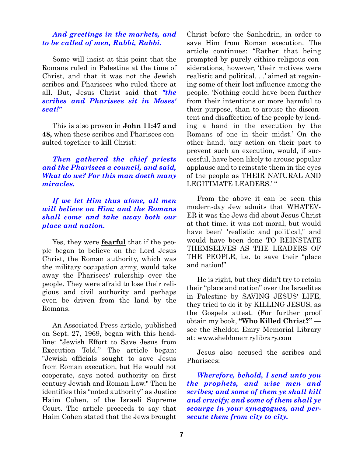#### *And greetings in the markets, and to be called of men, Rabbi, Rabbi.*

Some will insist at this point that the Romans ruled in Palestine at the time of Christ, and that it was not the Jewish scribes and Pharisees who ruled there at all. But, Jesus Christ said that *"the scribes and Pharisees sit in Moses' seat!"*

This is also proven in **John 11:47 and 48,** when these scribes and Pharisees consulted together to kill Christ:

*Then gathered the chief priests and the Pharisees a council, and said, What do we? For this man doeth many miracles.*

## *If we let Him thus alone, all men will believe on Him; and the Romans shall come and take away both our place and nation.*

Yes, they were **fearful** that if the people began to believe on the Lord Jesus Christ, the Roman authority, which was the military occupation army, would take away the Pharisees' rulership over the people. They were afraid to lose their religious and civil authority and perhaps even be driven from the land by the Romans.

An Associated Press article, published on Sept. 27, 1969, began with this headline: "Jewish Effort to Save Jesus from Execution Told." The article began: "Jewish officials sought to save Jesus from Roman execution, but He would not cooperate, says noted authority on first century Jewish and Roman Law." Then he identifies this "noted authority" as Justice Haim Cohen, of the Israeli Supreme Court. The article proceeds to say that Haim Cohen stated that the Jews brought Christ before the Sanhedrin, in order to save Him from Roman execution. The article continues: "Rather that being prompted by purely eithico-religious considerations, however, 'their motives were realistic and political. . .' aimed at regaining some of their lost influence among the people. 'Nothing could have been further from their intentions or more harmful to their purpose, than to arouse the discontent and disaffection of the people by lending a hand in the execution by the Romans of one in their midst.' On the other hand, 'any action on their part to prevent such an execution, would, if successful, have been likely to arouse popular applause and to reinstate them in the eyes of the people as THEIR NATURAL AND LEGITIMATE LEADERS.' "

From the above it can be seen this modern-day Jew admits that WHATEV-ER it was the Jews did about Jesus Christ at that time, it was not moral, but would have been' 'realistic and political," and would have been done TO REINSTATE THEMSELVES AS THE LEADERS OF THE PEOPLE, i.e. to save their "place and nation!"

He is right, but they didn't try to retain their "place and nation" over the Israelites in Palestine by SAVING JESUS' LIFE, they tried to do it by KILLING JESUS, as the Gospels attest. (For further proof obtain my book, **"Who Killed Christ?"**  see the Sheldon Emry Memorial Library at: www.sheldonemrylibrary.com

Jesus also accused the scribes and Pharisees:

*Wherefore, behold, I send unto you the prophets, and wise men and scribes; and some of them ye shall kill and crucify; and some of them shall ye scourge in your synagogues, and persecute them from city to city.*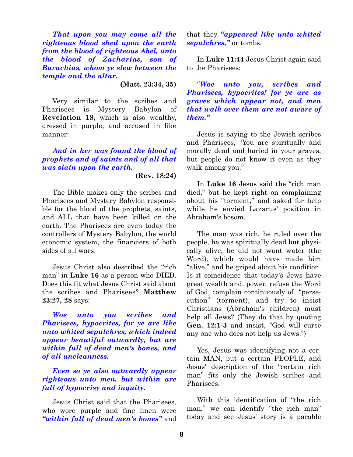*That upon you may come all the righteous blood shed upon the earth from the blood of righteous Abel, unto the blood of Zacharias, son of Barachias, whom ye slew between the temple and the altar.*

**(Matt. 23:34, 35)**

Very similar to the scribes and Pharisees is Mystery Babylon of **Revelation 18,** which is also wealthy, dressed in purple, and accused in like manner:

### *And in her was found the blood of prophets and of saints and of all that was slain upon the earth.*

#### **(Rev. 18:24)**

The Bible makes only the scribes and Pharisees and Mystery Babylon responsible for the blood of the prophets, saints, and ALL that have been killed on the earth. The Pharisees are even today the controllers of Mystery Babylon, the world economic system, the financiers of both sides of all wars.

Jesus Christ also described the "rich man" in **Luke 16** as a person who DIED. Does this fit what Jesus Christ said about the scribes and Pharisees? **Matthew 23:27, 28** says:

*Woe unto you scribes and Pharisees, hypocrites, for ye are like unto whited sepulchres, which indeed appear beautiful outwardly, but are within full of dead men's bones, and of all uncleanness.*

*Even so ye also outwardly appear righteous unto men, but within are full of hypocrisy and inquity.*

Jesus Christ said that the Pharisees, who wore purple and fine linen were *"within full of dead men's bones"* and that they *"appeared like unto whited sepulchres,"* or tombs.

In **Luke 11:44** Jesus Christ again said to the Pharisees:

"*Woe unto you, scribes and Pharisees, hypocrites! for ye are as graves which appear not, and men that walk over them are not aware of them."*

Jesus is saying to the Jewish scribes and Pharisees, "You are spiritually and morally dead and buried in your graves, but people do not know it even as they walk among you."

In **Luke 16** Jesus said the "rich man died," but he kept right on complaining about his "torment," and asked for help while he envied Lazarus' position in Abraham's bosom.

The man was rich, he ruled over the people, he was spiritually dead but physically alive, he did not want water (the Word), which would have made him "alive," and he griped about his condition. Is it coincidence that today's Jews have great wealth and. power, refuse the Word of God, complain continuously of "persecution" (torment), and try to insist Christians (Abraham's children) must help all Jews? (They do that by quoting **Gen. 12:1-3** and insist, "God will curse any one who does not help us Jews.")

Yes, Jesus was identifying not a certain MAN, but a certain PEOPLE, and Jesus' description of the "certain rich man" fits only the Jewish scribes and Pharisees.

With this identification of "the rich man," we can identify "the rich man" today and see Jesus' story is a parable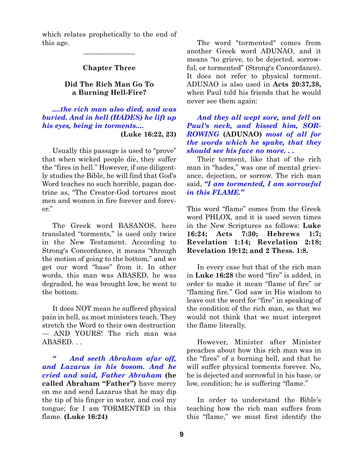which relates prophetically to the end of this age.

#### **Chapter Three**

 $\overline{\phantom{a}}$  , where  $\overline{\phantom{a}}$ 

#### **Did The Rich Man Go To a Burning Hell-Fire?**

*....the rich man also died, and was buried. And in hell (HADES) he lift up his eyes, being in torments....* **(Luke 16:22, 23)**

Usually this passage is used to "prove" that when wicked people die, they suffer the "fires in hell." However, if one diligently studies the Bible, he will find that God's Word teaches no such horrible, pagan doctrine as, "The Creator-God tortures most men and women in fire forever and forever."

The Greek word BASANOS, here translated "torments," is used only twice in the New Testament. According to Strong's Concordance, it means "through the motion of going to the bottom," and we get our word "base" from it. In other words, this man was ABASED, he was degraded, he was brought low, he went to the bottom.

It does NOT mean he suffered physical pain in hell, as most ministers teach. They stretch the Word to their own destruction — AND YOURS! The rich man was ABASED. . .

*" And seeth Abraham afar off, and Lazarus in his bosom. And he cried and said, Father Abraham* **(he called Abraham "Father")** have mercy on me and send Lazarus that he may dip the tip of his finger in water, and cool my tongue; for I am TORMENTED in this flame. **(Luke 16:24)**

The word "tormented" comes from another Greek word ADUNAO, and it means "to grieve, to be dejected, sorrowful, or tormented" (Strong's Concordance). It does not refer to physical torment. ADUNAO is also used in **Acts 20:37,38,** when Paul told his friends that he would never see them again:

*And they all wept sore, and fell on Paul's neck, and kissed him, SOR-ROWING* **(ADUNAO)** *most of all for the words which he spake, that they should see his face no more. . .*

Their torment, like that of the rich man in "hades," was one of mental grievance, dejection, or sorrow. The rich man said, *"I am tormented, I am sorrowful in this FLAME."*

This word "flame" comes from the Greek word PHLOX, and it is used seven times in the New Scriptures as follows: **Luke 16:24; Acts 7:30; Hebrews 1:7; Revelation 1:14; Revelation 2:18; Revelation 19:12; and 2 Thess. 1:8.**

In every case but that of the rich man in **Luke 16:28** the word "fire" is added, in order to make it mean "flame of fire" or "flaming fire." God saw in His wisdom to leave out the word for "fire" in speaking of the condition of the rich man, so that we would not think that we must interpret the flame literally.

However, Minister after Minister preaches about how this rich man was in the "fires" of a burning hell, and that he will suffer physical torments forever. No, he is dejected and sorrowful in his base, or low, condition; he is suffering "flame."

In order to understand the Bible's teaching how the rich man suffers from this "flame," we must first identify the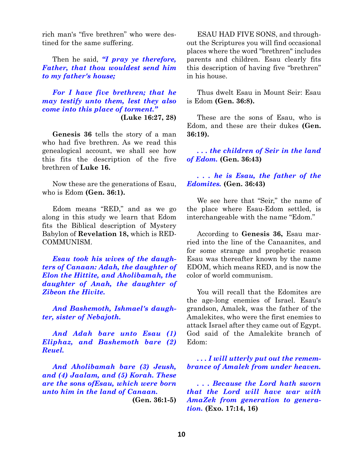rich man's "five brethren" who were destined for the same suffering.

Then he said, *"I pray ye therefore, Father, that thou wouldest send him to my father's house;*

*For I have five brethren; that he may testify unto them, lest they also come into this place of torment."* **(Luke 16:27, 28)**

**Genesis 36** tells the story of a man who had five brethren. As we read this genealogical account, we shall see how this fits the description of the five brethren of **Luke 16.**

Now these are the generations of Esau, who is Edom **(Gen. 36:1).**

Edom means "RED," and as we go along in this study we learn that Edom fits the Biblical description of Mystery Babylon of **Revelation 18,** which is RED-COMMUNISM.

*Esau took his wives of the daughters of Canaan: Adah, the daughter of Elon the Hittite, and Aholibamah, the daughter of Anah, the daughter of Zibeon the Hivite.*

*And Bashemoth, Ishmael's daughter, sister of Nebajoth.*

*And Adah bare unto Esau (1) Eliphaz, and Bashemoth bare (2) Reuel.*

*And Aholibamah bare (3) Jeush, and (4) Jaalam, and (5) Korah. These are the sons ofEsau, which were born unto him in the land of Canaan.* **(Gen. 36:1-5)**

ESAU HAD FIVE SONS, and throughout the Scriptures you will find occasional places where the word "brethren" includes parents and children. Esau clearly fits this description of having five "brethren" in his house.

Thus dwelt Esau in Mount Seir: Esau is Edom **(Gen. 36:8).**

These are the sons of Esau, who is Edom, and these are their dukes **(Gen. 36:19).**

*. . . the children of Seir in the land of Edom.* **(Gen. 36:43)**

*. . . he is Esau, the father of the Edomites.* **(Gen. 36:43)**

We see here that "Seir," the name of the place where Esau-Edom settled, is interchangeable with the name "Edom."

According to **Genesis 36,** Esau married into the line of the Canaanites, and for some strange and prophetic reason Esau was thereafter known by the name EDOM, which means RED, and is now the color of world communism.

You will recall that the Edomites are the age-long enemies of Israel. Esau's grandson, Amalek, was the father of the Amalekites, who were the first enemies to attack Israel after they came out of Egypt. God said of the Amalekite branch of Edom:

*. . . I will utterly put out the remembrance of Amalek from under heaven.*

*. . . Because the Lord hath sworn that the Lord will have war with AmaZek from generation to generation.* **(Exo. 17:14, 16)**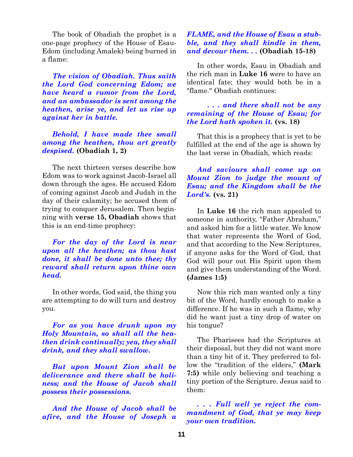The book of Obadiah the prophet is a one-page prophecy of the House of Esau-Edom (including Amalek) being burned in a flame:

*The vision of Obadiah. Thus saith the Lord God concerning Edom; we have heard a rumor from the Lord, and an ambassador is sent among the heathen, arise ye, and let us rise up against her in battle.*

*Behold, I have made thee small among the heathen, thou art greatly despised.* **(Obadiah 1, 2)**

The next thirteen verses describe how Edom was to work against Jacob-Israel all down through the ages. He accused Edom of coming against Jacob and Judah in the day of their calamity; he accused them of trying to conquer Jerusalem. Then beginning with **verse 15, Obadiah** shows that this is an end-time prophecy:

*For the day of the Lord is near upon all the heathen; as thou hast done, it shall be done unto thee; thy reward shall return upon thine own head.*

In other words, God said, the thing you are attempting to do will turn and destroy you.

*For as you have drunk upon my Holy Mountain, so shall all the heathen drink continually; yea, they shall drink, and they shall swallow.*

*But upon Mount Zion shall be deliverance and there shall be holiness; and the House of Jacob shall possess their possessions.*

*And the House of Jacob shall be afire, and the House of Joseph a*

## *FLAME, and the House of Esau a stubble, and they shall kindle in them, and devour them. . .* **(Obadiah 15-18)**

In other words, Esau in Obadiah and the rich man in **Luke 16** were to have an identical fate; they would both be in a "flame." Obadiah continues:

#### *. . . and there shall not be any remaining of the House of Esau; for the Lord hath spoken it.* **(vs. 18)**

That this is a prophecy that is yet to be fulfilled at the end of the age is shown by the last verse in Obadiah, which reads:

## *And saviours shall come up on Mount Zion to judge the mount of Esau; and the Kingdom shall be the Lord's.* **(vs. 21)**

In **Luke 16** the rich man appealed to someone in authority, "Father Abraham," and asked him for a little water. We know that water represents the Word of God, and that according to the New Scriptures, if anyone asks for the Word of God, that God will pour out His Spirit upon them and give them understanding of the Word. **(James 1:5)**

Now this rich man wanted only a tiny bit of the Word, hardly enough to make a difference. If he was in such a flame, why did he want just a tiny drop of water on his tongue?

The Pharisees had the Scriptures at their disposal, but they did not want more than a tiny bit of it. They preferred to follow the "tradition of the elders," **(Mark 7:5)** while only believing and teaching a tiny portion of the Scripture. Jesus said to them:

*. . . Full well ye reject the commandment of God, that ye may keep your own tradition.*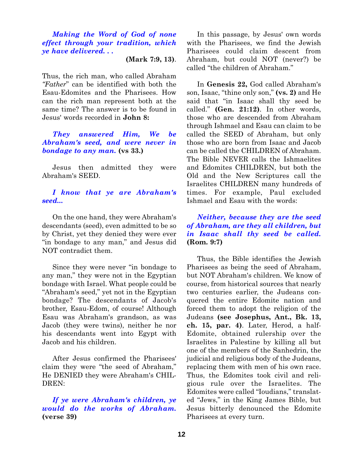*Making the Word of God of none effect through your tradition, which ye have delivered. . .*

**(Mark 7:9, 13)**.

Thus, the rich man, who called Abraham *"Father*" can be identified with both the Esau-Edomites and the Pharisees. How can the rich man represent both at the same time? The answer is to be found in Jesus' words recorded in **John 8:**

## *They answered Him, We be Abraham's seed, and were never in bondage to any man.* **(vs 33.)**

Jesus then admitted they were Abraham's SEED.

## *I know that ye are Abraham's seed...*

On the one hand, they were Abraham's descendants (seed), even admitted to be so by Christ, yet they denied they were ever "in bondage to any man," and Jesus did NOT contradict them.

Since they were never "in bondage to any man," they were not in the Egyptian bondage with Israel. What people could be "Abraham's seed," yet not in the Egyptian bondage? The descendants of Jacob's brother, Esau-Edom, of course! Although Esau was Abraham's grandson, as was Jacob (they were twins), neither he nor his descendants went into Egypt with Jacob and his children.

After Jesus confirmed the Pharisees' claim they were "the seed of Abraham," He DENIED they were Abraham's CHIL-DREN:

*If ye were Abraham's children, ye would do the works of Abraham.* **(verse 39)**

In this passage, by Jesus' own words with the Pharisees, we find the Jewish Pharisees could claim descent from Abraham, but could NOT (never?) be called "the children of Abraham."

In **Genesis 22,** God called Abraham's son, Isaac, "thine only son," **(vs. 2)** and He said that "in Isaac shall thy seed be called." **(Gen. 21:12)**. In other words, those who are descended from Abraham through Ishmael and Esau can claim to be called the SEED of Abraham, but only those who are born from Isaac and Jacob can be called the CHILDREN of Abraham. The Bible NEVER calls the Ishmaelites and Edomites CHILDREN, but both the Old and the New Scriptures call the Israelites CHILDREN many hundreds of times. For example, Paul excluded Ishmael and Esau with the words:

## *Neither, because they are the seed of Abraham, are they all children, but in Isaac shall thy seed be called.* **(Rom. 9:7)**

Thus, the Bible identifies the Jewish Pharisees as being the seed of Abraham, but NOT Abraham's children. We know of course, from historical sources that nearly two centuries earlier, the Judeans conquered the entire Edomite nation and forced them to adopt the religion of the Judeans **(see Josephus, Ant., Bk. 13, ch. 15, par. 4)**. Later, Herod, a half-Edomite, obtained rulership over the Israelites in Palestine by killing all but one of the members of the Sanhedrin, the judicial and religious body of the Judeans, replacing them with men of his own race. Thus, the Edomites took civil and religious rule over the Israelites. The Edomites were called "Ioudians," translated "Jews," in the King James Bible, but Jesus bitterly denounced the Edomite Pharisees at every turn.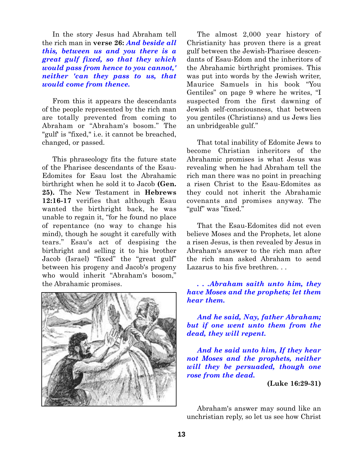In the story Jesus had Abraham tell the rich man in **verse 26:** *And beside all this, between us and you there is a great gulf fixed, so that they which would pass from hence to you cannot,' neither 'can they pass to us, that would come from thence.*

From this it appears the descendants of the people represented by the rich man are totally prevented from coming to Abraham or "Abraham's bosom." The "gulf' is "fixed," i.e. it cannot be breached, changed, or passed.

This phraseology fits the future state of the Pharisee descendants of the Esau-Edomites for Esau lost the Abrahamic birthright when he sold it to Jacob **(Gen. 25).** The New Testament in **Hebrews 12:16-17** verifies that although Esau wanted the birthright back, he was unable to regain it, "for he found no place of repentance (no way to change his mind), though he sought it carefully with tears." Esau's act of despising the birthright and selling it to his brother Jacob (Israel) "fixed" the "great gulf" between his progeny and Jacob's progeny who would inherit "Abraham's bosom," the Abrahamic promises.



The almost 2,000 year history of Christianity has proven there is a great gulf between the Jewish-Pharisee descendants of Esau-Edom and the inheritors of the Abrahamic birthright promises. This was put into words by the Jewish writer, Maurice Samuels in his book "You Gentiles" on page 9 where he writes, "I suspected from the first dawning of Jewish self-consciousness, that between you gentiles (Christians) and us Jews lies an unbridgeable gulf."

That total inability of Edomite Jews to become Christian inheritors of the Abrahamic promises is what Jesus was revealing when he had Abraham tell the rich man there was no point in preaching a risen Christ to the Esau-Edomites as they could not inherit the Abrahamic covenants and promises anyway. The "gulf" was "fixed."

That the Esau-Edomites did not even believe Moses and the Prophets, let alone a risen Jesus, is then revealed by Jesus in Abraham's answer to the rich man after the rich man asked Abraham to send Lazarus to his five brethren. . .

*. . .Abraham saith unto him, they have Moses and the prophets; let them hear them.*

*And he said, Nay, father Abraham; but if one went unto them from the dead, they will repent.*

*And he said unto him, If they hear not Moses and the prophets, neither will they be persuaded, though one rose from the dead.*

**(Luke 16:29-31)**

Abraham's answer may sound like an unchristian reply, so let us see how Christ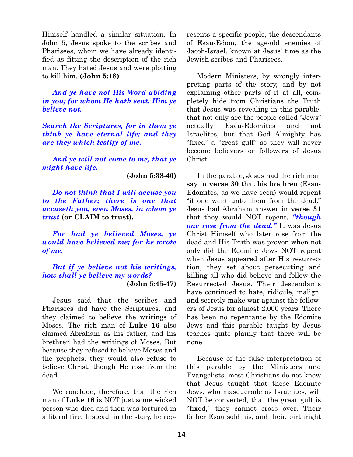Himself handled a similar situation. In John 5, Jesus spoke to the scribes and Pharisees, whom we have already identified as fitting the description of the rich man. They hated Jesus and were plotting to kill him. **(John 5:18)**

*And ye have not His Word abiding in you; for whom He hath sent, Him ye believe not.*

*Search the Scriptures, for in them ye think ye have eternal life; and they are they which testify of me.*

*And ye will not come to me, that ye might have life.*

**(John 5:38-40)**

*Do not think that I will accuse you to the Father; there is one that accuseth you, even Moses, in whom ye trust* **(or CLAIM to trust).**

*For had ye believed Moses, ye would have believed me; for he wrote of me.*

*But if ye believe not his writings, how shall ye believe my words?* **(John 5:45-47)**

Jesus said that the scribes and Pharisees did have the Scriptures, and they claimed to believe the writings of Moses. The rich man of **Luke 16** also claimed Abraham as his father, and his brethren had the writings of Moses. But because they refused to believe Moses and the prophets, they would also refuse to believe Christ, though He rose from the dead.

We conclude, therefore, that the rich man of **Luke 16** is NOT just some wicked person who died and then was tortured in a literal fire. Instead, in the story, he represents a specific people, the descendants of Esau-Edom, the age-old enemies of Jacob-Israel, known at Jesus' time as the Jewish scribes and Pharisees.

Modern Ministers, by wrongly interpreting parts of the story, and by not explaining other parts of it at all, completely hide from Christians the Truth that Jesus was revealing in this parable, that not only are the people called "Jews" actually Esau-Edomites and not Israelites, but that God Almighty has "fixed" a "great gulf" so they will never become believers or followers of Jesus Christ.

In the parable, Jesus had the rich man say in **verse 30** that his brethren (Esau-Edomites, as we have seen) would repent "if one went unto them from the dead." Jesus had Abraham answer in **verse 31** that they would NOT repent, *"though one rose from the dead."* It was Jesus Christ Himself who later rose from the dead and His Truth was proven when not only did the Edomite Jews NOT repent when Jesus appeared after His resurrection, they set about persecuting and killing all who did believe and follow the Resurrected Jesus. Their descendants have continued to hate, ridicule, malign, and secretly make war against the followers of Jesus for almost 2,000 years. There has been no repentance by the Edomite Jews and this parable taught by Jesus teaches quite plainly that there will be none.

Because of the false interpretation of this parable by the Ministers and Evangelists, most Christians do not know that Jesus taught that these Edomite Jews, who masquerade as Israelites, will NOT be converted, that the great gulf is "fixed," they cannot cross over. Their father Esau sold his, and their, birthright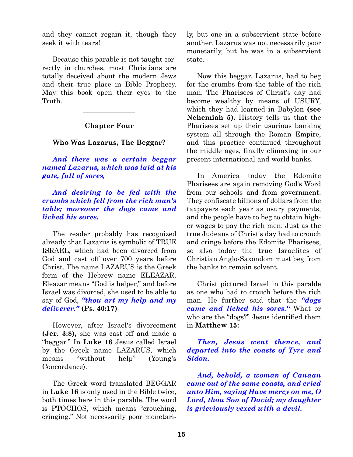and they cannot regain it, though they seek it with tears!

Because this parable is not taught correctly in churches, most Christians are totally deceived about the modern Jews and their true place in Bible Prophecy. May this book open their eyes to the Truth.

**Chapter Four**

 $\overline{\phantom{a}}$  , where  $\overline{\phantom{a}}$ 

**Who Was Lazarus, The Beggar?**

*And there was a certain beggar named Lazarus, which was laid at his gate, full of sores,*

*And desiring to be fed with the crumbs which fell from the rich man's table; moreover the dogs came and licked his sores.*

The reader probably has recognized already that Lazarus is symbolic of TRUE ISRAEL, which had been divorced from God and cast off over 700 years before Christ. The name LAZARUS is the Greek form of the Hebrew name ELEAZAR. Eleazar means "God is helper," and before Israel was divorced, she used to be able to say of God, *"thou art my help and my deliverer."* **(Ps. 40:17)**

However, after Israel's divorcement **(Jer. 3:8),** she was cast off and made a "beggar." In **Luke 16** Jesus called Israel by the Greek name LAZARUS, which means "without help" (Young's Concordance).

The Greek word translated BEGGAR in **Luke 16** is only used in the Bible twice, both times here in this parable. The word is PTOCHOS, which means "crouching, cringing." Not necessarily poor monetarily, but one in a subservient state before another. Lazarus was not necessarily poor monetarily, but he was in a subservient state.

Now this beggar, Lazarus, had to beg for the crumbs from the table of the rich man. The Pharisees of Christ's day had become wealthy by means of USURY, which they had learned in Babylon **(see Nehemiah 5).** History tells us that the Pharisees set up their usurious banking system all through the Roman Empire, and this practice continued throughout the middle ages, finally climaxing in our present international and world banks.

In America today the Edomite Pharisees are again removing God's Word from our schools and from government. They confiscate billions of dollars from the taxpayers each year as usury payments, and the people have to beg to obtain higher wages to pay the rich men. Just as the true Judeans of Christ's day had to crouch and cringe before the Edomite Pharisees, so also today the true Israelites of Christian Anglo-Saxondom must beg from the banks to remain solvent.

Christ pictured Israel in this parable as one who had to crouch before the rich man. He further said that the *"dogs came and licked his sores."* What or who are the "dogs?" Jesus identified them in **Matthew 15:**

*Then, Jesus went thence, and departed into the coasts of Tyre and Sidon.*

*And, behold, a woman of Canaan came out of the same coasts, and cried unto Him, saying Have mercy on me, O Lord, thou Son of David; my daughter is grieviously vexed with a devil.*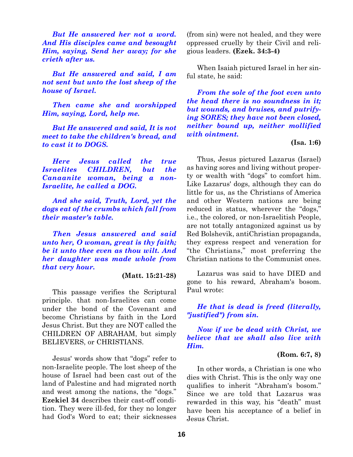*But He answered her not a word. And His disciples came and besought Him, saying, Send her away; for she crieth after us.*

*But He answered and said, I am not sent but unto the lost sheep of the house of Israel.*

*Then came she and worshipped Him, saying, Lord, help me.*

*But He answered and said, It is not meet to take the children's bread, and to cast it to DOGS.*

*Here Jesus called the true Israelites CHILDREN, but the Canaanite woman, being a non-Israelite, he called a DOG.*

*And she said, Truth, Lord, yet the dogs eat of the crumbs which fall from their master's table.*

*Then Jesus answered and said unto her, O woman, great is thy faith; be it unto thee even as thou wilt. And her daughter was made whole from that very hour.*

#### **(Matt. 15:21-28)**

This passage verifies the Scriptural principle. that non-Israelites can come under the bond of the Covenant and become Christians by faith in the Lord Jesus Christ. But they are NOT called the CHILDREN OF ABRAHAM, but simply BELIEVERS, or CHRISTIANS.

Jesus' words show that "dogs" refer to non-Israelite people. The lost sheep of the house of Israel had been cast out of the land of Palestine and had migrated north and west among the nations, the "dogs." **Ezekiel 34** describes their cast-off condition. They were ill-fed, for they no longer had God's Word to eat; their sicknesses

(from sin) were not healed, and they were oppressed cruelly by their Civil and religious leaders. **(Ezek. 34:3-4)**

When Isaiah pictured Israel in her sinful state, he said:

*From the sole of the foot even unto the head there is no soundness in it; but wounds, and bruises, and putrifying SORES; they have not been closed, neither bound up, neither mollified with ointment.*

#### **(Isa. 1:6)**

Thus, Jesus pictured Lazarus (Israel) as having sores and living without property or wealth with "dogs" to comfort him. Like Lazarus' dogs, although they can do little for us, as the Christians of America and other Western nations are being reduced in status, wherever the "dogs," i.e., the colored, or non-Israelitish People, are not totally antagonized against us by Red Bolshevik, antiChristian propaganda, they express respect and veneration for "the Christians," most preferring the Christian nations to the Communist ones.

Lazarus was said to have DIED and gone to his reward, Abraham's bosom. Paul wrote:

*He that is dead is freed (literally, "justified") from sin.*

*Now if we be dead with Christ, we believe that we shall also live with Him.* 

#### **(Rom. 6:7, 8)**

In other words, a Christian is one who dies with Christ. This is the only way one qualifies to inherit "Abraham's bosom." Since we are told that Lazarus was rewarded in this way, his "death" must have been his acceptance of a belief in Jesus Christ.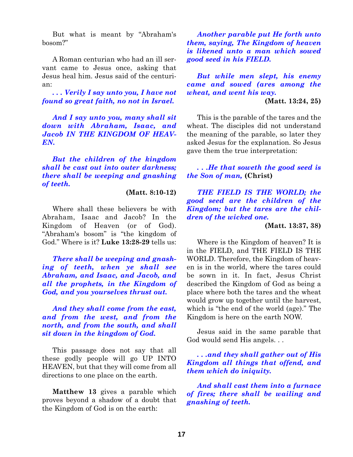But what is meant by "Abraham's bosom?"

A Roman centurian who had an ill servant came to Jesus once, asking that Jesus heal him. Jesus said of the centurian:

*. . . Verily I say unto you, I have not found so great faith, no not in Israel.*

*And I say unto you, many shall sit down with Abraham, Isaac, and Jacob IN THE KINGDOM OF HEAV-EN.*

*But the children of the kingdom shall be cast out into outer darkness; there shall be weeping and gnashing of teeth.*

**(Matt. 8:10-12)**

Where shall these believers be with Abraham, Isaac and Jacob? In the Kingdom of Heaven (or of God). "Abraham's bosom" is "the kingdom of God." Where is it? **Luke 13:28-29** tells us:

*There shall be weeping and gnashing of teeth, when ye shall see Abraham, and Isaac, and Jacob, and all the prophets, in the Kingdom of God, and you yourselves thrust out.*

*And they shall come from the east, and from the west, and from the north, and from the south, and shall sit down in the kingdom of God.*

This passage does not say that all these godly people will go UP INTO HEAVEN, but that they will come from all directions to one place on the earth.

**Matthew 13** gives a parable which proves beyond a shadow of a doubt that the Kingdom of God is on the earth:

*Another parable put He forth unto them, saying, The Kingdom of heaven is likened unto a man which sowed good seed in his FIELD.*

*But while men slept, his enemy came and sowed (ares among the wheat, and went his way.*

**(Matt. 13:24, 25)**

This is the parable of the tares and the wheat. The disciples did not understand the meaning of the parable, so later they asked Jesus for the explanation. So Jesus gave them the true interpretation:

*. . .He that soweth the good seed is the Son of man,* **(Christ)**

*THE FIELD IS THE WORLD; the good seed are the children of the Kingdom; but the tares are the children of the wicked one.*

#### **(Matt. 13:37, 38)**

Where is the Kingdom of heaven? It is in the FIELD, and THE FIELD IS THE WORLD. Therefore, the Kingdom of heaven is in the world, where the tares could be sown in it. In fact, Jesus Christ described the Kingdom of God as being a place where both the tares and the wheat would grow up together until the harvest, which is "the end of the world (age)." The Kingdom is here on the earth NOW.

Jesus said in the same parable that God would send His angels. . .

*. . .and they shall gather out of His Kingdom all things that offend, and them which do iniquity.*

*And shall cast them into a furnace of fires; there shall be wailing and gnashing of teeth.*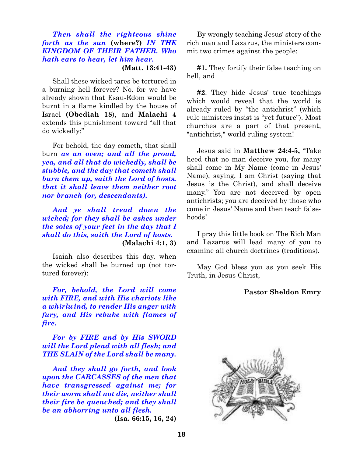## *Then shall the righteous shine forth as the sun* **(where?)** *IN THE KINGDOM OF THEIR FATHER. Who hath ears to hear, let him hear.*

**(Matt. 13:41-43)**

Shall these wicked tares be tortured in a burning hell forever? No. for we have already shown that Esau-Edom would be burnt in a flame kindled by the house of Israel **(Obediah 18**), and **Malachi 4** extends this punishment toward "all that do wickedly:"

For behold, the day cometh, that shall burn *as an oven; and all the proud, yea, and all that do wickedly, shall be stubble, and the day that cometh shall burn them up, saith the Lord of hosts. that it shall leave them neither root nor branch (or, descendants).*

*And ye shall tread down the wicked; for they shall be ashes under the soles of your feet in the day that I shall do this, saith the Lord of hosts.* **(Malachi 4:1, 3)**

Isaiah also describes this day, when the wicked shall be burned up (not tortured forever):

*For, behold, the Lord will come with FIRE, and with His chariots like a whirlwind, to render His anger with fury, and His rebuke with flames of fire.*

*For by FIRE and by His SWORD will the Lord plead with all flesh; and THE SLAIN of the Lord shall be many.*

*And they shall go forth, and look upon the CARCASSES of the men that have transgressed against me; for their worm shall not die, neither shall their fire be quenched; and they shall be an abhorring unto all flesh.* **(Isa. 66:15, 16, 24)**

By wrongly teaching Jesus' story of the rich man and Lazarus, the ministers commit two crimes against the people:

**#1.** They fortify their false teaching on hell, and

**#2**. They hide Jesus' true teachings which would reveal that the world is already ruled by "the antichrist" (which rule ministers insist is "yet future"). Most churches are a part of that present, "antichrist," world-ruling system!

Jesus said in **Matthew 24:4-5,** "Take heed that no man deceive you, for many shall come in My Name (come in Jesus' Name), saying, I am Christ (saying that Jesus is the Christ), and shall deceive many." You are not deceived by open antichrists; you are deceived by those who come in Jesus' Name and then teach falsehoods!

I pray this little book on The Rich Man and Lazarus will lead many of you to examine all church doctrines (traditions).

May God bless you as you seek His Truth, in Jesus Christ,

#### **Pastor Sheldon Emry**

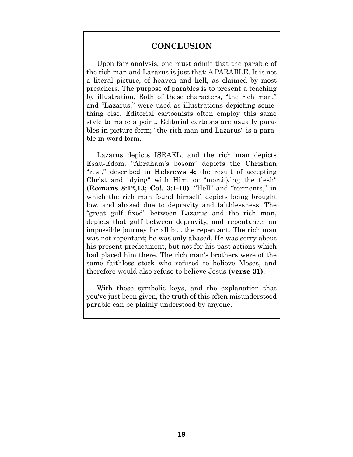## **CONCLUSION**

Upon fair analysis, one must admit that the parable of the rich man and Lazarus is just that: A PARABLE. It is not a literal picture, of heaven and hell, as claimed by most preachers. The purpose of parables is to present a teaching by illustration. Both of these characters, "the rich man," and "Lazarus," were used as illustrations depicting something else. Editorial cartoonists often employ this same style to make a point. Editorial cartoons are usually parables in picture form; "the rich man and Lazarus" is a parable in word form.

Lazarus depicts ISRAEL, and the rich man depicts Esau-Edom. "Abraham's bosom" depicts the Christian "rest," described in **Hebrews 4;** the result of accepting Christ and "dying" with Him, or "mortifying the flesh" **(Romans 8:12,13; Co!. 3:1-10).** "Hell" and "torments," in which the rich man found himself, depicts being brought low, and abased due to depravity and faithlessness. The "great gulf fixed" between Lazarus and the rich man, depicts that gulf between depravity, and repentance: an impossible journey for all but the repentant. The rich man was not repentant; he was only abased. He was sorry about his present predicament, but not for his past actions which had placed him there. The rich man's brothers were of the same faithless stock who refused to believe Moses, and therefore would also refuse to believe Jesus **(verse 31).**

With these symbolic keys, and the explanation that you've just been given, the truth of this often misunderstood parable can be plainly understood by anyone.